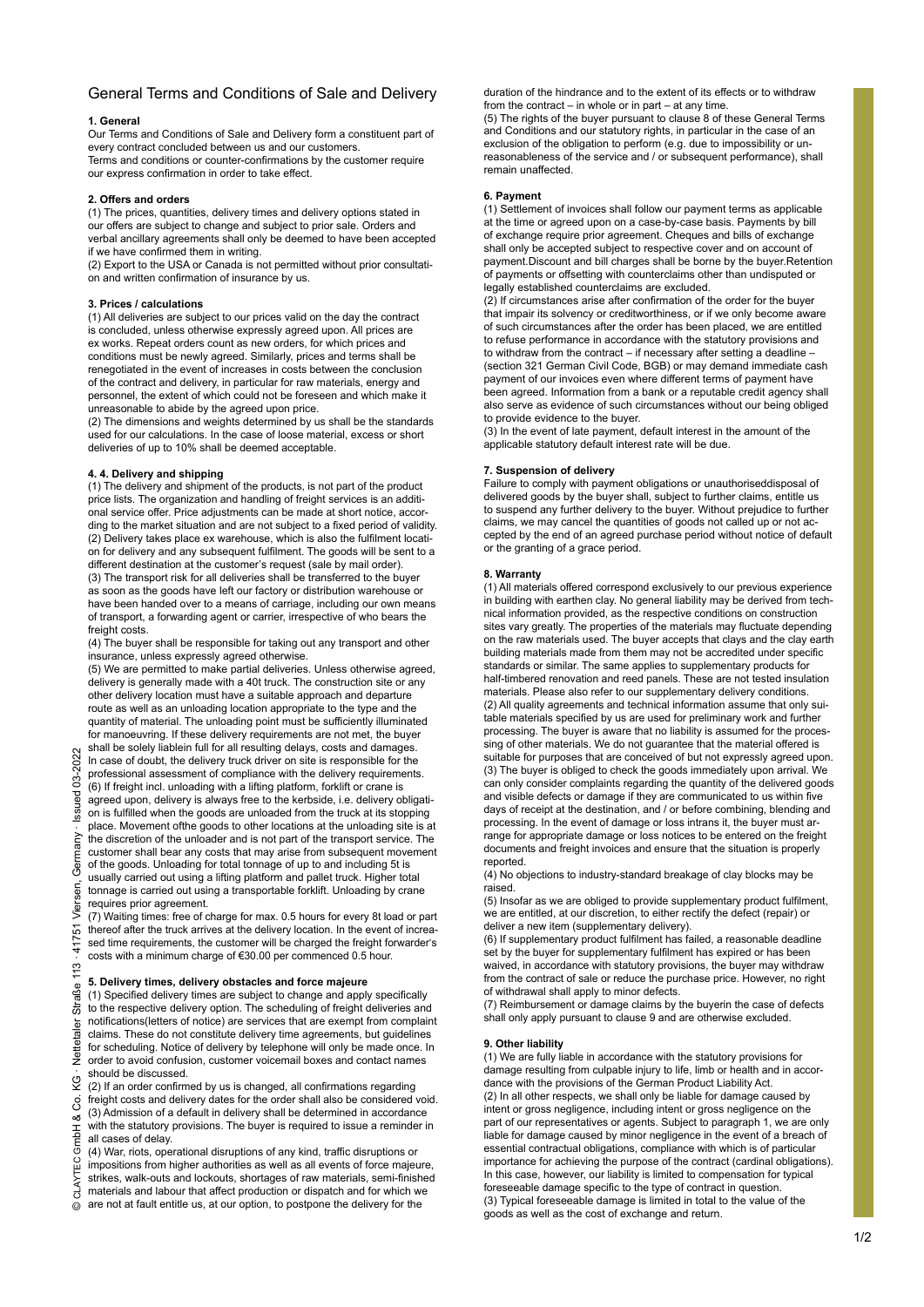# General Terms and Conditions of Sale and Delivery

# **1. General**

Our Terms and Conditions of Sale and Delivery form a constituent part of every contract concluded between us and our customers. Terms and conditions or counter-confirmations by the customer require our express confirmation in order to take effect.

#### **2. Offers and orders**

(1) The prices, quantities, delivery times and delivery options stated in our offers are subject to change and subject to prior sale. Orders and verbal ancillary agreements shall only be deemed to have been accepted if we have confirmed them in writing.

(2) Export to the USA or Canada is not permitted without prior consultation and written confirmation of insurance by us.

#### **3. Prices / calculations**

(1) All deliveries are subject to our prices valid on the day the contract is concluded, unless otherwise expressly agreed upon. All prices are ex works. Repeat orders count as new orders, for which prices and conditions must be newly agreed. Similarly, prices and terms shall be renegotiated in the event of increases in costs between the conclusion of the contract and delivery, in particular for raw materials, energy and personnel, the extent of which could not be foreseen and which make it unreasonable to abide by the agreed upon price.

(2) The dimensions and weights determined by us shall be the standards used for our calculations. In the case of loose material, excess or short deliveries of up to 10% shall be deemed acceptable.

#### **4. 4. Delivery and shipping**

(1) The delivery and shipment of the products, is not part of the product price lists. The organization and handling of freight services is an additional service offer. Price adjustments can be made at short notice, according to the market situation and are not subject to a fixed period of validity. (2) Delivery takes place ex warehouse, which is also the fulfilment location for delivery and any subsequent fulfilment. The goods will be sent to a different destination at the customer's request (sale by mail order). (3) The transport risk for all deliveries shall be transferred to the buyer as soon as the goods have left our factory or distribution warehouse or have been handed over to a means of carriage, including our own means of transport, a forwarding agent or carrier, irrespective of who bears the freight costs.

(4) The buyer shall be responsible for taking out any transport and other insurance, unless expressly agreed otherwise.

(5) We are permitted to make partial deliveries. Unless otherwise agreed, delivery is generally made with a 40t truck. The construction site or any other delivery location must have a suitable approach and departure route as well as an unloading location appropriate to the type and the quantity of material. The unloading point must be sufficiently illuminated for manoeuvring. If these delivery requirements are not met, the buyer

shall be solely liablein full for all resulting delays, costs and damages. In case of doubt, the delivery truck driver on site is responsible for the professional assessment of compliance with the delivery requirements. (6) If freight incl. unloading with a lifting platform, forklift or crane is agreed upon, delivery is always free to the kerbside, i.e. delivery obligation is fulfilled when the goods are unloaded from the truck at its stopping place. Movement ofthe goods to other locations at the unloading site is at the discretion of the unloader and is not part of the transport service. The customer shall bear any costs that may arise from subsequent movement of the goods. Unloading for total tonnage of up to and including 5t is usually carried out using a lifting platform and pallet truck. Higher total tonnage is carried out using a transportable forklift. Unloading by crane requires prior agreement.

(7) Waiting times: free of charge for max. 0.5 hours for every 8t load or part thereof after the truck arrives at the delivery location. In the event of increased time requirements, the customer will be charged the freight forwarder's costs with a minimum charge of €30.00 per commenced 0.5 hour.

# **5. Delivery times, delivery obstacles and force majeure**

(1) Specified delivery times are subject to change and apply specifically to the respective delivery option. The scheduling of freight deliveries and notifications(letters of notice) are services that are exempt from complaint claims. These do not constitute delivery time agreements, but guidelines for scheduling. Notice of delivery by telephone will only be made once. In order to avoid confusion, customer voicemail boxes and contact names should be discussed.

(2) If an order confirmed by us is changed, all confirmations regarding freight costs and delivery dates for the order shall also be considered void. (3) Admission of a default in delivery shall be determined in accordance with the statutory provisions. The buyer is required to issue a reminder in all cases of delay.

(4) War, riots, operational disruptions of any kind, traffic disruptions or impositions from higher authorities as well as all events of force majeure, strikes, walk-outs and lockouts, shortages of raw materials, semi-finished materials and labour that affect production or dispatch and for which we are not at fault entitle us, at our option, to postpone the delivery for the

duration of the hindrance and to the extent of its effects or to withdraw from the contract – in whole or in part – at any time. (5) The rights of the buyer pursuant to clause 8 of these General Terms and Conditions and our statutory rights, in particular in the case of an exclusion of the obligation to perform (e.g. due to impossibility or unreasonableness of the service and / or subsequent performance), shall remain unaffected.

# **6. Payment**

(1) Settlement of invoices shall follow our payment terms as applicable at the time or agreed upon on a case-by-case basis. Payments by bill of exchange require prior agreement. Cheques and bills of exchange shall only be accepted subject to respective cover and on account of payment.Discount and bill charges shall be borne by the buyer.Retention of payments or offsetting with counterclaims other than undisputed or legally established counterclaims are excluded.

(2) If circumstances arise after confirmation of the order for the buyer that impair its solvency or creditworthiness, or if we only become aware of such circumstances after the order has been placed, we are entitled to refuse performance in accordance with the statutory provisions and to withdraw from the contract – if necessary after setting a deadline – (section 321 German Civil Code, BGB) or may demand immediate cash payment of our invoices even where different terms of payment have been agreed. Information from a bank or a reputable credit agency shall also serve as evidence of such circumstances without our being obliged to provide evidence to the buyer.

(3) In the event of late payment, default interest in the amount of the applicable statutory default interest rate will be due.

#### **7. Suspension of delivery**

Failure to comply with payment obligations or unauthoriseddisposal of delivered goods by the buyer shall, subject to further claims, entitle us to suspend any further delivery to the buyer. Without prejudice to further claims, we may cancel the quantities of goods not called up or not accepted by the end of an agreed purchase period without notice of default or the granting of a grace period.

#### **8. Warranty**

(1) All materials offered correspond exclusively to our previous experience in building with earthen clay. No general liability may be derived from technical information provided, as the respective conditions on construction sites vary greatly. The properties of the materials may fluctuate depending on the raw materials used. The buyer accepts that clays and the clay earth building materials made from them may not be accredited under specific standards or similar. The same applies to supplementary products for half-timbered renovation and reed panels. These are not tested insulation materials. Please also refer to our supplementary delivery conditions. (2) All quality agreements and technical information assume that only suitable materials specified by us are used for preliminary work and further processing. The buyer is aware that no liability is assumed for the processing of other materials. We do not guarantee that the material offered is suitable for purposes that are conceived of but not expressly agreed upon. (3) The buyer is obliged to check the goods immediately upon arrival. We can only consider complaints regarding the quantity of the delivered goods and visible defects or damage if they are communicated to us within five days of receipt at the destination, and / or before combining, blending and processing. In the event of damage or loss intrans it, the buyer must arrange for appropriate damage or loss notices to be entered on the freight documents and freight invoices and ensure that the situation is properly reported.

(4) No objections to industry-standard breakage of clay blocks may be raised.

(5) Insofar as we are obliged to provide supplementary product fulfilment, we are entitled, at our discretion, to either rectify the defect (repair) or deliver a new item (supplementary delivery).

(6) If supplementary product fulfilment has failed, a reasonable deadline set by the buyer for supplementary fulfilment has expired or has been waived, in accordance with statutory provisions, the buyer may withdraw from the contract of sale or reduce the purchase price. However, no right of withdrawal shall apply to minor defects.

(7) Reimbursement or damage claims by the buyerin the case of defects shall only apply pursuant to clause 9 and are otherwise excluded.

#### **9. Other liability**

(1) We are fully liable in accordance with the statutory provisions for damage resulting from culpable injury to life, limb or health and in accordance with the provisions of the German Product Liability Act. (2) In all other respects, we shall only be liable for damage caused by intent or gross negligence, including intent or gross negligence on the part of our representatives or agents. Subject to paragraph 1, we are only liable for damage caused by minor negligence in the event of a breach of essential contractual obligations, compliance with which is of particular importance for achieving the purpose of the contract (cardinal obligations). In this case, however, our liability is limited to compensation for typical foreseeable damage specific to the type of contract in question. (3) Typical foreseeable damage is limited in total to the value of the goods as well as the cost of exchange and return.